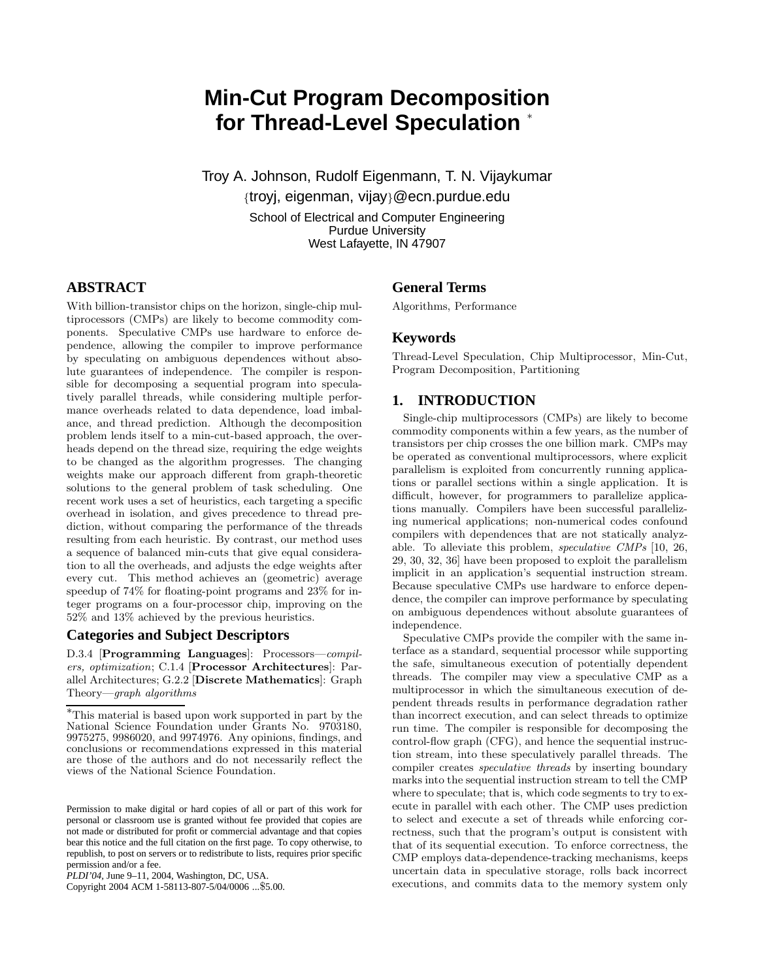# **Min-Cut Program Decomposition for Thread-Level Speculation** <sup>∗</sup>

Troy A. Johnson, Rudolf Eigenmann, T. N. Vijaykumar {troyj, eigenman, vijay}@ecn.purdue.edu School of Electrical and Computer Engineering Purdue University

West Lafayette, IN 47907

# **ABSTRACT**

With billion-transistor chips on the horizon, single-chip multiprocessors (CMPs) are likely to become commodity components. Speculative CMPs use hardware to enforce dependence, allowing the compiler to improve performance by speculating on ambiguous dependences without absolute guarantees of independence. The compiler is responsible for decomposing a sequential program into speculatively parallel threads, while considering multiple performance overheads related to data dependence, load imbalance, and thread prediction. Although the decomposition problem lends itself to a min-cut-based approach, the overheads depend on the thread size, requiring the edge weights to be changed as the algorithm progresses. The changing weights make our approach different from graph-theoretic solutions to the general problem of task scheduling. One recent work uses a set of heuristics, each targeting a specific overhead in isolation, and gives precedence to thread prediction, without comparing the performance of the threads resulting from each heuristic. By contrast, our method uses a sequence of balanced min-cuts that give equal consideration to all the overheads, and adjusts the edge weights after every cut. This method achieves an (geometric) average speedup of 74% for floating-point programs and 23% for integer programs on a four-processor chip, improving on the 52% and 13% achieved by the previous heuristics.

# **Categories and Subject Descriptors**

D.3.4 [Programming Languages]: Processors—compilers, optimization; C.1.4 [Processor Architectures]: Parallel Architectures; G.2.2 [Discrete Mathematics]: Graph Theory—graph algorithms

Copyright 2004 ACM 1-58113-807-5/04/0006 ...\$5.00.

# **General Terms**

Algorithms, Performance

## **Keywords**

Thread-Level Speculation, Chip Multiprocessor, Min-Cut, Program Decomposition, Partitioning

# **1. INTRODUCTION**

Single-chip multiprocessors (CMPs) are likely to become commodity components within a few years, as the number of transistors per chip crosses the one billion mark. CMPs may be operated as conventional multiprocessors, where explicit parallelism is exploited from concurrently running applications or parallel sections within a single application. It is difficult, however, for programmers to parallelize applications manually. Compilers have been successful parallelizing numerical applications; non-numerical codes confound compilers with dependences that are not statically analyzable. To alleviate this problem, speculative CMPs [10, 26, 29, 30, 32, 36] have been proposed to exploit the parallelism implicit in an application's sequential instruction stream. Because speculative CMPs use hardware to enforce dependence, the compiler can improve performance by speculating on ambiguous dependences without absolute guarantees of independence.

Speculative CMPs provide the compiler with the same interface as a standard, sequential processor while supporting the safe, simultaneous execution of potentially dependent threads. The compiler may view a speculative CMP as a multiprocessor in which the simultaneous execution of dependent threads results in performance degradation rather than incorrect execution, and can select threads to optimize run time. The compiler is responsible for decomposing the control-flow graph (CFG), and hence the sequential instruction stream, into these speculatively parallel threads. The compiler creates speculative threads by inserting boundary marks into the sequential instruction stream to tell the CMP where to speculate; that is, which code segments to try to execute in parallel with each other. The CMP uses prediction to select and execute a set of threads while enforcing correctness, such that the program's output is consistent with that of its sequential execution. To enforce correctness, the CMP employs data-dependence-tracking mechanisms, keeps uncertain data in speculative storage, rolls back incorrect executions, and commits data to the memory system only

<sup>∗</sup>This material is based upon work supported in part by the National Science Foundation under Grants No. 9703180, 9975275, 9986020, and 9974976. Any opinions, findings, and conclusions or recommendations expressed in this material are those of the authors and do not necessarily reflect the views of the National Science Foundation.

Permission to make digital or hard copies of all or part of this work for personal or classroom use is granted without fee provided that copies are not made or distributed for profit or commercial advantage and that copies bear this notice and the full citation on the first page. To copy otherwise, to republish, to post on servers or to redistribute to lists, requires prior specific permission and/or a fee.

*PLDI'04,* June 9–11, 2004, Washington, DC, USA.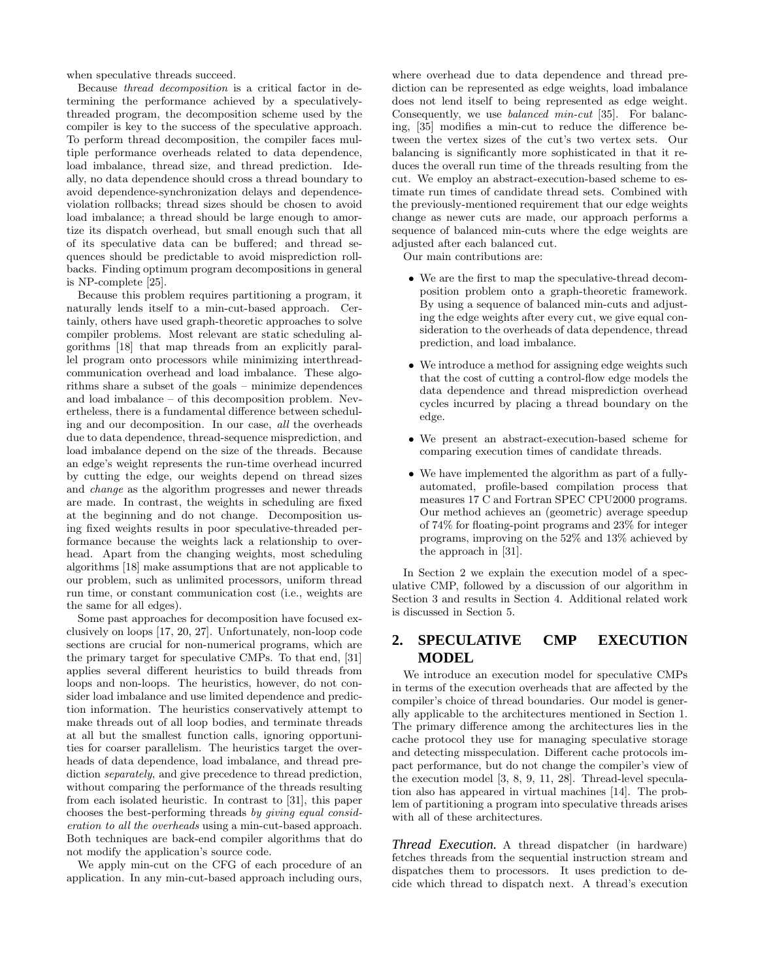when speculative threads succeed.

Because thread decomposition is a critical factor in determining the performance achieved by a speculativelythreaded program, the decomposition scheme used by the compiler is key to the success of the speculative approach. To perform thread decomposition, the compiler faces multiple performance overheads related to data dependence, load imbalance, thread size, and thread prediction. Ideally, no data dependence should cross a thread boundary to avoid dependence-synchronization delays and dependenceviolation rollbacks; thread sizes should be chosen to avoid load imbalance; a thread should be large enough to amortize its dispatch overhead, but small enough such that all of its speculative data can be buffered; and thread sequences should be predictable to avoid misprediction rollbacks. Finding optimum program decompositions in general is NP-complete [25].

Because this problem requires partitioning a program, it naturally lends itself to a min-cut-based approach. Certainly, others have used graph-theoretic approaches to solve compiler problems. Most relevant are static scheduling algorithms [18] that map threads from an explicitly parallel program onto processors while minimizing interthreadcommunication overhead and load imbalance. These algorithms share a subset of the goals – minimize dependences and load imbalance – of this decomposition problem. Nevertheless, there is a fundamental difference between scheduling and our decomposition. In our case, all the overheads due to data dependence, thread-sequence misprediction, and load imbalance depend on the size of the threads. Because an edge's weight represents the run-time overhead incurred by cutting the edge, our weights depend on thread sizes and change as the algorithm progresses and newer threads are made. In contrast, the weights in scheduling are fixed at the beginning and do not change. Decomposition using fixed weights results in poor speculative-threaded performance because the weights lack a relationship to overhead. Apart from the changing weights, most scheduling algorithms [18] make assumptions that are not applicable to our problem, such as unlimited processors, uniform thread run time, or constant communication cost (i.e., weights are the same for all edges).

Some past approaches for decomposition have focused exclusively on loops [17, 20, 27]. Unfortunately, non-loop code sections are crucial for non-numerical programs, which are the primary target for speculative CMPs. To that end, [31] applies several different heuristics to build threads from loops and non-loops. The heuristics, however, do not consider load imbalance and use limited dependence and prediction information. The heuristics conservatively attempt to make threads out of all loop bodies, and terminate threads at all but the smallest function calls, ignoring opportunities for coarser parallelism. The heuristics target the overheads of data dependence, load imbalance, and thread prediction *separately*, and give precedence to thread prediction, without comparing the performance of the threads resulting from each isolated heuristic. In contrast to [31], this paper chooses the best-performing threads by giving equal consideration to all the overheads using a min-cut-based approach. Both techniques are back-end compiler algorithms that do not modify the application's source code.

We apply min-cut on the CFG of each procedure of an application. In any min-cut-based approach including ours, where overhead due to data dependence and thread prediction can be represented as edge weights, load imbalance does not lend itself to being represented as edge weight. Consequently, we use balanced min-cut [35]. For balancing, [35] modifies a min-cut to reduce the difference between the vertex sizes of the cut's two vertex sets. Our balancing is significantly more sophisticated in that it reduces the overall run time of the threads resulting from the cut. We employ an abstract-execution-based scheme to estimate run times of candidate thread sets. Combined with the previously-mentioned requirement that our edge weights change as newer cuts are made, our approach performs a sequence of balanced min-cuts where the edge weights are adjusted after each balanced cut.

Our main contributions are:

- We are the first to map the speculative-thread decomposition problem onto a graph-theoretic framework. By using a sequence of balanced min-cuts and adjusting the edge weights after every cut, we give equal consideration to the overheads of data dependence, thread prediction, and load imbalance.
- We introduce a method for assigning edge weights such that the cost of cutting a control-flow edge models the data dependence and thread misprediction overhead cycles incurred by placing a thread boundary on the edge.
- We present an abstract-execution-based scheme for comparing execution times of candidate threads.
- We have implemented the algorithm as part of a fullyautomated, profile-based compilation process that measures 17 C and Fortran SPEC CPU2000 programs. Our method achieves an (geometric) average speedup of 74% for floating-point programs and 23% for integer programs, improving on the 52% and 13% achieved by the approach in [31].

In Section 2 we explain the execution model of a speculative CMP, followed by a discussion of our algorithm in Section 3 and results in Section 4. Additional related work is discussed in Section 5.

# **2. SPECULATIVE CMP EXECUTION MODEL**

We introduce an execution model for speculative CMPs in terms of the execution overheads that are affected by the compiler's choice of thread boundaries. Our model is generally applicable to the architectures mentioned in Section 1. The primary difference among the architectures lies in the cache protocol they use for managing speculative storage and detecting misspeculation. Different cache protocols impact performance, but do not change the compiler's view of the execution model [3, 8, 9, 11, 28]. Thread-level speculation also has appeared in virtual machines [14]. The problem of partitioning a program into speculative threads arises with all of these architectures.

*Thread Execution.* A thread dispatcher (in hardware) fetches threads from the sequential instruction stream and dispatches them to processors. It uses prediction to decide which thread to dispatch next. A thread's execution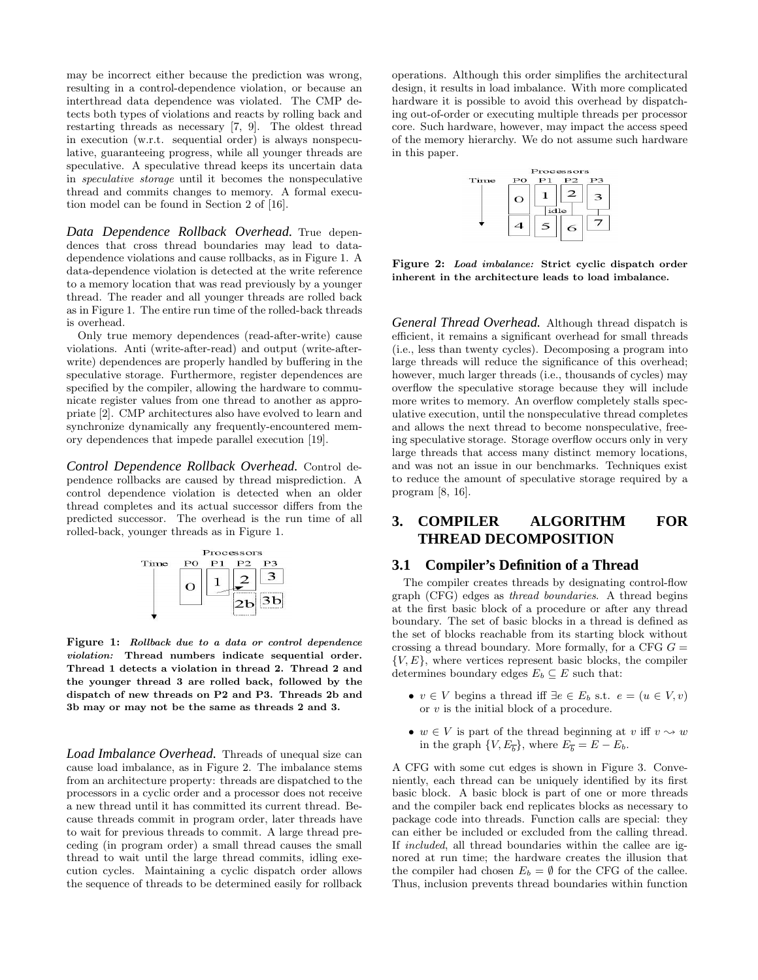may be incorrect either because the prediction was wrong, resulting in a control-dependence violation, or because an interthread data dependence was violated. The CMP detects both types of violations and reacts by rolling back and restarting threads as necessary [7, 9]. The oldest thread in execution (w.r.t. sequential order) is always nonspeculative, guaranteeing progress, while all younger threads are speculative. A speculative thread keeps its uncertain data in speculative storage until it becomes the nonspeculative thread and commits changes to memory. A formal execution model can be found in Section 2 of [16].

*Data Dependence Rollback Overhead.* True dependences that cross thread boundaries may lead to datadependence violations and cause rollbacks, as in Figure 1. A data-dependence violation is detected at the write reference to a memory location that was read previously by a younger thread. The reader and all younger threads are rolled back as in Figure 1. The entire run time of the rolled-back threads is overhead.

Only true memory dependences (read-after-write) cause violations. Anti (write-after-read) and output (write-afterwrite) dependences are properly handled by buffering in the speculative storage. Furthermore, register dependences are specified by the compiler, allowing the hardware to communicate register values from one thread to another as appropriate [2]. CMP architectures also have evolved to learn and synchronize dynamically any frequently-encountered memory dependences that impede parallel execution [19].

*Control Dependence Rollback Overhead.* Control dependence rollbacks are caused by thread misprediction. A control dependence violation is detected when an older thread completes and its actual successor differs from the predicted successor. The overhead is the run time of all rolled-back, younger threads as in Figure 1.



Figure 1: Rollback due to a data or control dependence violation: Thread numbers indicate sequential order. Thread 1 detects a violation in thread 2. Thread 2 and the younger thread 3 are rolled back, followed by the dispatch of new threads on P2 and P3. Threads 2b and 3b may or may not be the same as threads 2 and 3.

*Load Imbalance Overhead.* Threads of unequal size can cause load imbalance, as in Figure 2. The imbalance stems from an architecture property: threads are dispatched to the processors in a cyclic order and a processor does not receive a new thread until it has committed its current thread. Because threads commit in program order, later threads have to wait for previous threads to commit. A large thread preceding (in program order) a small thread causes the small thread to wait until the large thread commits, idling execution cycles. Maintaining a cyclic dispatch order allows the sequence of threads to be determined easily for rollback operations. Although this order simplifies the architectural design, it results in load imbalance. With more complicated hardware it is possible to avoid this overhead by dispatching out-of-order or executing multiple threads per processor core. Such hardware, however, may impact the access speed of the memory hierarchy. We do not assume such hardware in this paper.

|      | Processors     |                         |    |    |  |  |
|------|----------------|-------------------------|----|----|--|--|
| Fime | P <sub>O</sub> | $P1$ $P2$               |    | P3 |  |  |
|      | О              | idle                    | 2. |    |  |  |
|      |                | $\overline{\mathbf{z}}$ | 6  |    |  |  |

Figure 2: Load imbalance: Strict cyclic dispatch order inherent in the architecture leads to load imbalance.

*General Thread Overhead.* Although thread dispatch is efficient, it remains a significant overhead for small threads (i.e., less than twenty cycles). Decomposing a program into large threads will reduce the significance of this overhead; however, much larger threads (i.e., thousands of cycles) may overflow the speculative storage because they will include more writes to memory. An overflow completely stalls speculative execution, until the nonspeculative thread completes and allows the next thread to become nonspeculative, freeing speculative storage. Storage overflow occurs only in very large threads that access many distinct memory locations, and was not an issue in our benchmarks. Techniques exist to reduce the amount of speculative storage required by a program [8, 16].

# **3. COMPILER ALGORITHM FOR THREAD DECOMPOSITION**

## **3.1 Compiler's Definition of a Thread**

The compiler creates threads by designating control-flow graph (CFG) edges as thread boundaries. A thread begins at the first basic block of a procedure or after any thread boundary. The set of basic blocks in a thread is defined as the set of blocks reachable from its starting block without crossing a thread boundary. More formally, for a CFG  $G =$  ${V, E}$ , where vertices represent basic blocks, the compiler determines boundary edges  $E_b \subseteq E$  such that:

- $v \in V$  begins a thread iff  $\exists e \in E_b$  s.t.  $e = (u \in V, v)$ or v is the initial block of a procedure.
- $w \in V$  is part of the thread beginning at v iff  $v \rightsquigarrow w$ in the graph  $\{V, E_{\overline{b}}\}\$ , where  $E_{\overline{b}} = E - E_b$ .

A CFG with some cut edges is shown in Figure 3. Conveniently, each thread can be uniquely identified by its first basic block. A basic block is part of one or more threads and the compiler back end replicates blocks as necessary to package code into threads. Function calls are special: they can either be included or excluded from the calling thread. If included, all thread boundaries within the callee are ignored at run time; the hardware creates the illusion that the compiler had chosen  $E_b = \emptyset$  for the CFG of the callee. Thus, inclusion prevents thread boundaries within function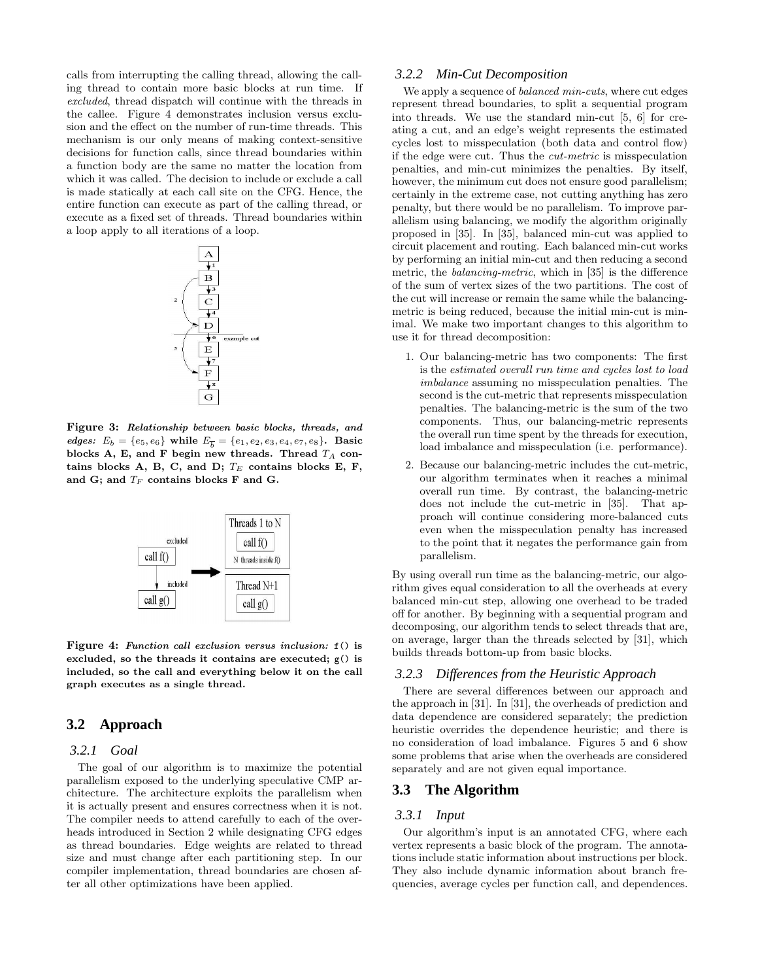calls from interrupting the calling thread, allowing the calling thread to contain more basic blocks at run time. If excluded, thread dispatch will continue with the threads in the callee. Figure 4 demonstrates inclusion versus exclusion and the effect on the number of run-time threads. This mechanism is our only means of making context-sensitive decisions for function calls, since thread boundaries within a function body are the same no matter the location from which it was called. The decision to include or exclude a call is made statically at each call site on the CFG. Hence, the entire function can execute as part of the calling thread, or execute as a fixed set of threads. Thread boundaries within a loop apply to all iterations of a loop.



Figure 3: Relationship between basic blocks, threads, and edges:  $E_b = \{e_5, e_6\}$  while  $E_{\overline{b}} = \{e_1, e_2, e_3, e_4, e_7, e_8\}$ . Basic blocks A, E, and F begin new threads. Thread  $T_A$  contains blocks A, B, C, and D;  $T_E$  contains blocks E, F, and G; and  $T_F$  contains blocks F and G.



Figure 4: Function call exclusion versus inclusion: f() is excluded, so the threads it contains are executed; g() is included, so the call and everything below it on the call graph executes as a single thread.

# **3.2 Approach**

#### *3.2.1 Goal*

The goal of our algorithm is to maximize the potential parallelism exposed to the underlying speculative CMP architecture. The architecture exploits the parallelism when it is actually present and ensures correctness when it is not. The compiler needs to attend carefully to each of the overheads introduced in Section 2 while designating CFG edges as thread boundaries. Edge weights are related to thread size and must change after each partitioning step. In our compiler implementation, thread boundaries are chosen after all other optimizations have been applied.

#### *3.2.2 Min-Cut Decomposition*

We apply a sequence of *balanced min-cuts*, where cut edges represent thread boundaries, to split a sequential program into threads. We use the standard min-cut [5, 6] for creating a cut, and an edge's weight represents the estimated cycles lost to misspeculation (both data and control flow) if the edge were cut. Thus the cut-metric is misspeculation penalties, and min-cut minimizes the penalties. By itself, however, the minimum cut does not ensure good parallelism; certainly in the extreme case, not cutting anything has zero penalty, but there would be no parallelism. To improve parallelism using balancing, we modify the algorithm originally proposed in [35]. In [35], balanced min-cut was applied to circuit placement and routing. Each balanced min-cut works by performing an initial min-cut and then reducing a second metric, the balancing-metric, which in [35] is the difference of the sum of vertex sizes of the two partitions. The cost of the cut will increase or remain the same while the balancingmetric is being reduced, because the initial min-cut is minimal. We make two important changes to this algorithm to use it for thread decomposition:

- 1. Our balancing-metric has two components: The first is the estimated overall run time and cycles lost to load imbalance assuming no misspeculation penalties. The second is the cut-metric that represents misspeculation penalties. The balancing-metric is the sum of the two components. Thus, our balancing-metric represents the overall run time spent by the threads for execution, load imbalance and misspeculation (i.e. performance).
- 2. Because our balancing-metric includes the cut-metric, our algorithm terminates when it reaches a minimal overall run time. By contrast, the balancing-metric does not include the cut-metric in [35]. That approach will continue considering more-balanced cuts even when the misspeculation penalty has increased to the point that it negates the performance gain from parallelism.

By using overall run time as the balancing-metric, our algorithm gives equal consideration to all the overheads at every balanced min-cut step, allowing one overhead to be traded off for another. By beginning with a sequential program and decomposing, our algorithm tends to select threads that are, on average, larger than the threads selected by [31], which builds threads bottom-up from basic blocks.

## *3.2.3 Differences from the Heuristic Approach*

There are several differences between our approach and the approach in [31]. In [31], the overheads of prediction and data dependence are considered separately; the prediction heuristic overrides the dependence heuristic; and there is no consideration of load imbalance. Figures 5 and 6 show some problems that arise when the overheads are considered separately and are not given equal importance.

# **3.3 The Algorithm**

### *3.3.1 Input*

Our algorithm's input is an annotated CFG, where each vertex represents a basic block of the program. The annotations include static information about instructions per block. They also include dynamic information about branch frequencies, average cycles per function call, and dependences.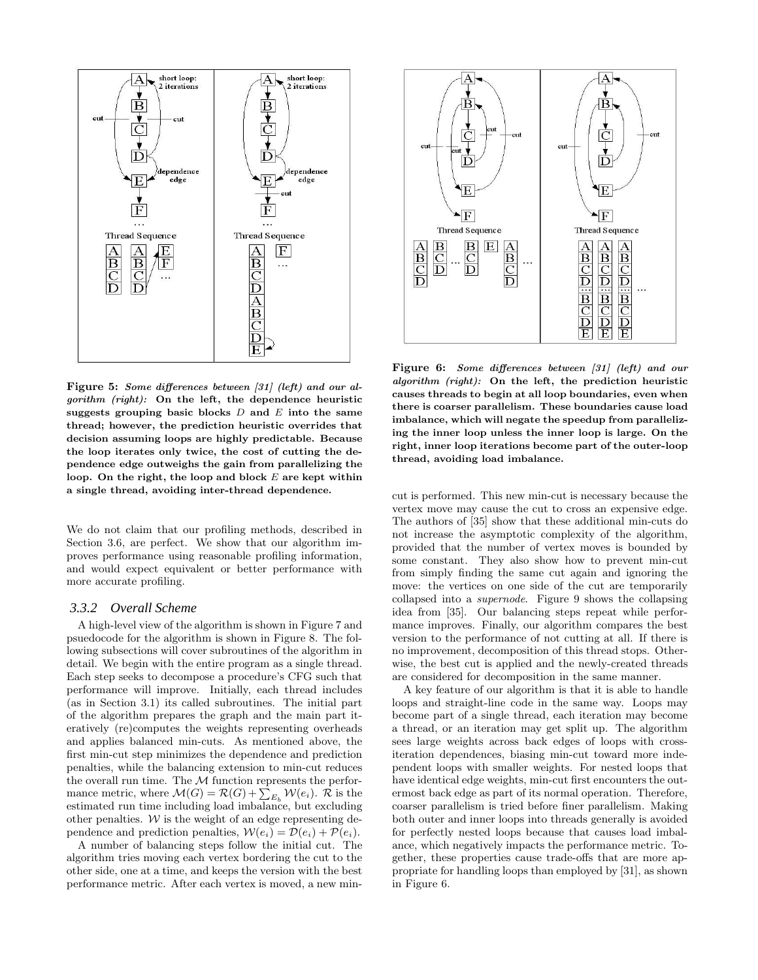

Figure 5: Some differences between [31] (left) and our algorithm (right): On the left, the dependence heuristic suggests grouping basic blocks  $D$  and  $E$  into the same thread; however, the prediction heuristic overrides that decision assuming loops are highly predictable. Because the loop iterates only twice, the cost of cutting the dependence edge outweighs the gain from parallelizing the loop. On the right, the loop and block E are kept within a single thread, avoiding inter-thread dependence.

We do not claim that our profiling methods, described in Section 3.6, are perfect. We show that our algorithm improves performance using reasonable profiling information, and would expect equivalent or better performance with more accurate profiling.

#### *3.3.2 Overall Scheme*

A high-level view of the algorithm is shown in Figure 7 and psuedocode for the algorithm is shown in Figure 8. The following subsections will cover subroutines of the algorithm in detail. We begin with the entire program as a single thread. Each step seeks to decompose a procedure's CFG such that performance will improve. Initially, each thread includes (as in Section 3.1) its called subroutines. The initial part of the algorithm prepares the graph and the main part iteratively (re)computes the weights representing overheads and applies balanced min-cuts. As mentioned above, the first min-cut step minimizes the dependence and prediction penalties, while the balancing extension to min-cut reduces the overall run time. The  $M$  function represents the performance metric, where  $\mathcal{M}(G) = \mathcal{R}(G) + \sum_{E_b} \mathcal{W}(e_i)$ . R is the estimated run time including load imbalance, but excluding other penalties.  $W$  is the weight of an edge representing dependence and prediction penalties,  $W(e_i) = \mathcal{D}(e_i) + \mathcal{P}(e_i)$ .

A number of balancing steps follow the initial cut. The algorithm tries moving each vertex bordering the cut to the other side, one at a time, and keeps the version with the best performance metric. After each vertex is moved, a new min-



Figure 6: Some differences between [31] (left) and our algorithm (right): On the left, the prediction heuristic causes threads to begin at all loop boundaries, even when there is coarser parallelism. These boundaries cause load imbalance, which will negate the speedup from parallelizing the inner loop unless the inner loop is large. On the right, inner loop iterations become part of the outer-loop thread, avoiding load imbalance.

cut is performed. This new min-cut is necessary because the vertex move may cause the cut to cross an expensive edge. The authors of [35] show that these additional min-cuts do not increase the asymptotic complexity of the algorithm, provided that the number of vertex moves is bounded by some constant. They also show how to prevent min-cut from simply finding the same cut again and ignoring the move: the vertices on one side of the cut are temporarily collapsed into a supernode. Figure 9 shows the collapsing idea from [35]. Our balancing steps repeat while performance improves. Finally, our algorithm compares the best version to the performance of not cutting at all. If there is no improvement, decomposition of this thread stops. Otherwise, the best cut is applied and the newly-created threads are considered for decomposition in the same manner.

A key feature of our algorithm is that it is able to handle loops and straight-line code in the same way. Loops may become part of a single thread, each iteration may become a thread, or an iteration may get split up. The algorithm sees large weights across back edges of loops with crossiteration dependences, biasing min-cut toward more independent loops with smaller weights. For nested loops that have identical edge weights, min-cut first encounters the outermost back edge as part of its normal operation. Therefore, coarser parallelism is tried before finer parallelism. Making both outer and inner loops into threads generally is avoided for perfectly nested loops because that causes load imbalance, which negatively impacts the performance metric. Together, these properties cause trade-offs that are more appropriate for handling loops than employed by [31], as shown in Figure 6.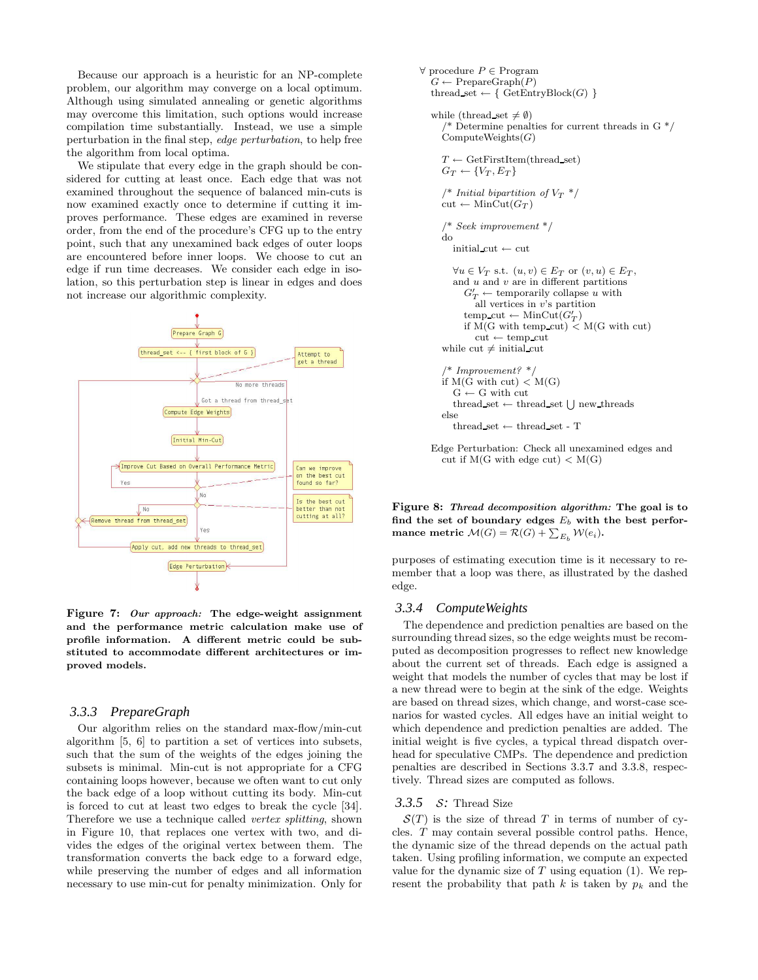Because our approach is a heuristic for an NP-complete problem, our algorithm may converge on a local optimum. Although using simulated annealing or genetic algorithms may overcome this limitation, such options would increase compilation time substantially. Instead, we use a simple perturbation in the final step, edge perturbation, to help free the algorithm from local optima.

We stipulate that every edge in the graph should be considered for cutting at least once. Each edge that was not examined throughout the sequence of balanced min-cuts is now examined exactly once to determine if cutting it improves performance. These edges are examined in reverse order, from the end of the procedure's CFG up to the entry point, such that any unexamined back edges of outer loops are encountered before inner loops. We choose to cut an edge if run time decreases. We consider each edge in isolation, so this perturbation step is linear in edges and does not increase our algorithmic complexity.



Figure 7: Our approach: The edge-weight assignment and the performance metric calculation make use of profile information. A different metric could be substituted to accommodate different architectures or improved models.

## *3.3.3 PrepareGraph*

Our algorithm relies on the standard max-flow/min-cut algorithm [5, 6] to partition a set of vertices into subsets, such that the sum of the weights of the edges joining the subsets is minimal. Min-cut is not appropriate for a CFG containing loops however, because we often want to cut only the back edge of a loop without cutting its body. Min-cut is forced to cut at least two edges to break the cycle [34]. Therefore we use a technique called vertex splitting, shown in Figure 10, that replaces one vertex with two, and divides the edges of the original vertex between them. The transformation converts the back edge to a forward edge, while preserving the number of edges and all information necessary to use min-cut for penalty minimization. Only for

```
∀ procedure P ∈ Program
G \leftarrow \text{PrepareGraph}(P)thread_set \leftarrow \{ \text{ GetEntryBlock}(G) \}while (thread set \neq \emptyset)
    * Determine penalties for current threads in G */ComputeWeights(G)T \leftarrow \text{GetFirstItem}(\text{thread_set})G_T \leftarrow \{V_T, E_T\}\frac{1}{2} Initial bipartition of V_T */
   cut \leftarrow \text{MinCut}(G_T)/* Seek improvement */
   do
      initial cut \leftarrow cut
      \forall u \in V_T \text{ s.t. } (u, v) \in E_T \text{ or } (v, u) \in E_T,and u and v are in different partitions
         G'_T \leftarrow temporarily collapse u with
            all vertices in v's partition
         temp_cut \leftarrow MinCut(G'_T)if M(G with temp cut) \langle M(G \text{ with cut}) \ranglecut ← temp cut
   while cut \neq initial cut
    /* Improvement? */
   if M(G with cut) M(G)G \leftarrow G with cut
      thread set \leftarrow threads set \bigcup new threads
   else
      thread set \leftarrow thread set - T
```
Edge Perturbation: Check all unexamined edges and cut if  $M(G \text{ with edge cut}) < M(G)$ 

Figure 8: Thread decomposition algorithm: The goal is to find the set of boundary edges  $E_b$  with the best performance metric  $\mathcal{M}(G) = \mathcal{R}(G) + \sum_{E_b} \mathcal{W}(e_i)$ .

purposes of estimating execution time is it necessary to remember that a loop was there, as illustrated by the dashed edge.

#### *3.3.4 ComputeWeights*

The dependence and prediction penalties are based on the surrounding thread sizes, so the edge weights must be recomputed as decomposition progresses to reflect new knowledge about the current set of threads. Each edge is assigned a weight that models the number of cycles that may be lost if a new thread were to begin at the sink of the edge. Weights are based on thread sizes, which change, and worst-case scenarios for wasted cycles. All edges have an initial weight to which dependence and prediction penalties are added. The initial weight is five cycles, a typical thread dispatch overhead for speculative CMPs. The dependence and prediction penalties are described in Sections 3.3.7 and 3.3.8, respectively. Thread sizes are computed as follows.

#### *3.3.5* S*:* Thread Size

 $\mathcal{S}(T)$  is the size of thread T in terms of number of cycles. T may contain several possible control paths. Hence, the dynamic size of the thread depends on the actual path taken. Using profiling information, we compute an expected value for the dynamic size of  $T$  using equation (1). We represent the probability that path  $k$  is taken by  $p_k$  and the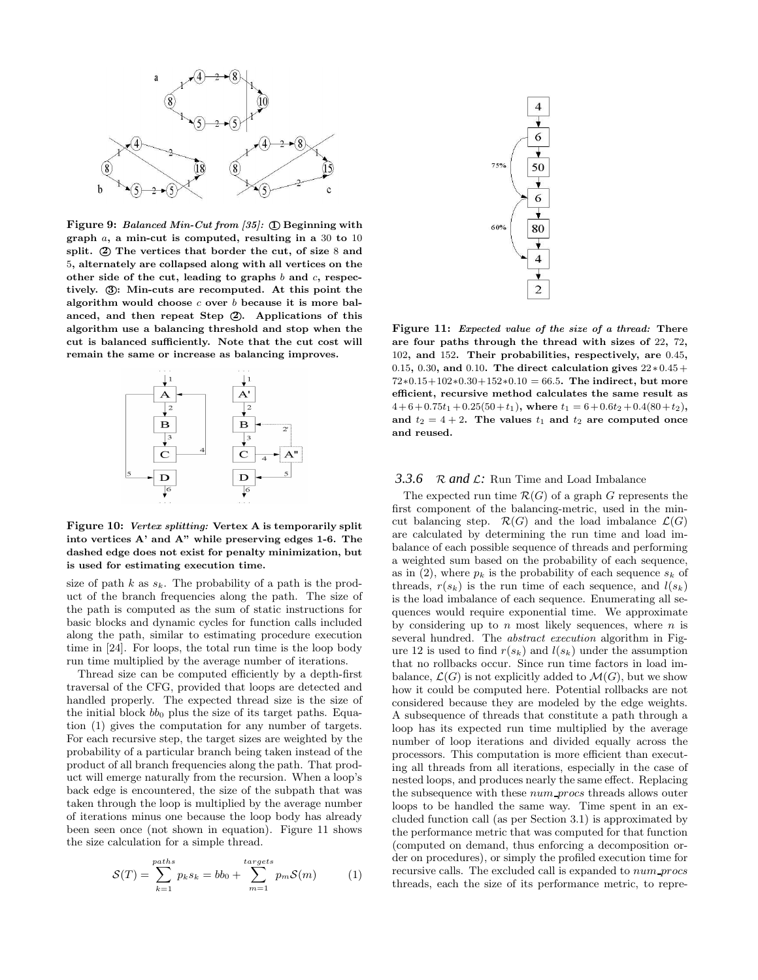

Figure 9: Balanced Min-Cut from [35]: ① Beginning with graph a, a min-cut is computed, resulting in a 30 to 10 split. 2 The vertices that border the cut, of size 8 and 5, alternately are collapsed along with all vertices on the other side of the cut, leading to graphs  $b$  and  $c$ , respectively.  $\circled{3}$ : Min-cuts are recomputed. At this point the algorithm would choose  $c$  over  $b$  because it is more balanced, and then repeat Step 2. Applications of this algorithm use a balancing threshold and stop when the cut is balanced sufficiently. Note that the cut cost will remain the same or increase as balancing improves.



Figure 10: Vertex splitting: Vertex A is temporarily split into vertices A' and A" while preserving edges 1-6. The dashed edge does not exist for penalty minimization, but is used for estimating execution time.

size of path k as  $s_k$ . The probability of a path is the product of the branch frequencies along the path. The size of the path is computed as the sum of static instructions for basic blocks and dynamic cycles for function calls included along the path, similar to estimating procedure execution time in [24]. For loops, the total run time is the loop body run time multiplied by the average number of iterations.

Thread size can be computed efficiently by a depth-first traversal of the CFG, provided that loops are detected and handled properly. The expected thread size is the size of the initial block  $bb_0$  plus the size of its target paths. Equation (1) gives the computation for any number of targets. For each recursive step, the target sizes are weighted by the probability of a particular branch being taken instead of the product of all branch frequencies along the path. That product will emerge naturally from the recursion. When a loop's back edge is encountered, the size of the subpath that was taken through the loop is multiplied by the average number of iterations minus one because the loop body has already been seen once (not shown in equation). Figure 11 shows the size calculation for a simple thread.

$$
S(T) = \sum_{k=1}^{paths} p_k s_k = bb_0 + \sum_{m=1}^{targets} p_m S(m)
$$
 (1)



Figure 11: Expected value of the size of a thread: There are four paths through the thread with sizes of 22, 72, 102, and 152. Their probabilities, respectively, are 0.45, 0.15, 0.30, and 0.10. The direct calculation gives  $22 * 0.45 +$ 72∗0.15+102∗0.30+152∗0.10 = 66.5. The indirect, but more efficient, recursive method calculates the same result as  $4+6+0.75t_1+0.25(50+t_1)$ , where  $t_1 = 6+0.6t_2+0.4(80+t_2)$ , and  $t_2 = 4 + 2$ . The values  $t_1$  and  $t_2$  are computed once and reused.

#### *3.3.6* R *and* L*:* Run Time and Load Imbalance

The expected run time  $\mathcal{R}(G)$  of a graph G represents the first component of the balancing-metric, used in the mincut balancing step.  $\mathcal{R}(G)$  and the load imbalance  $\mathcal{L}(G)$ are calculated by determining the run time and load imbalance of each possible sequence of threads and performing a weighted sum based on the probability of each sequence, as in (2), where  $p_k$  is the probability of each sequence  $s_k$  of threads,  $r(s_k)$  is the run time of each sequence, and  $l(s_k)$ is the load imbalance of each sequence. Enumerating all sequences would require exponential time. We approximate by considering up to  $n$  most likely sequences, where  $n$  is several hundred. The abstract execution algorithm in Figure 12 is used to find  $r(s_k)$  and  $l(s_k)$  under the assumption that no rollbacks occur. Since run time factors in load imbalance,  $\mathcal{L}(G)$  is not explicitly added to  $\mathcal{M}(G)$ , but we show how it could be computed here. Potential rollbacks are not considered because they are modeled by the edge weights. A subsequence of threads that constitute a path through a loop has its expected run time multiplied by the average number of loop iterations and divided equally across the processors. This computation is more efficient than executing all threads from all iterations, especially in the case of nested loops, and produces nearly the same effect. Replacing the subsequence with these *num procs* threads allows outer loops to be handled the same way. Time spent in an excluded function call (as per Section 3.1) is approximated by the performance metric that was computed for that function (computed on demand, thus enforcing a decomposition order on procedures), or simply the profiled execution time for recursive calls. The excluded call is expanded to  $num\_procs$ threads, each the size of its performance metric, to repre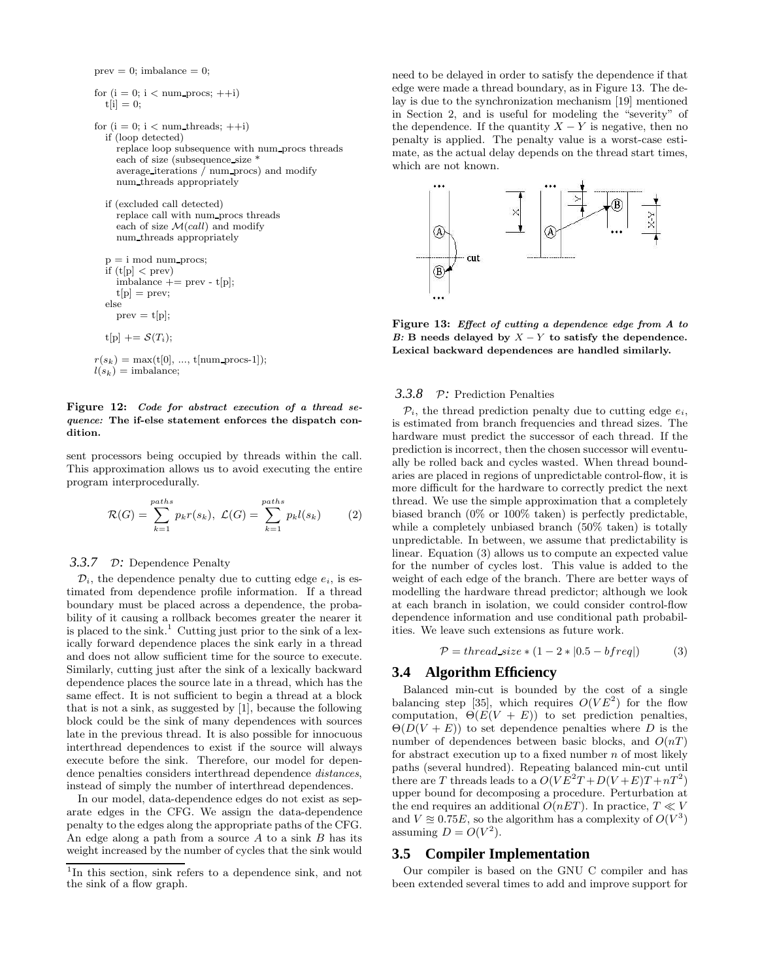$prev = 0$ ; imbalance = 0;

for  $(i = 0; i < num$  procs;  $++i$ )  $t[i] = 0;$ 

for  $(i = 0; i <$  num threads;  $++i)$ if (loop detected) replace loop subsequence with num procs threads each of size (subsequence size \* average iterations / num procs) and modify num threads appropriately

if (excluded call detected) replace call with num procs threads each of size  $\mathcal{M}(call)$  and modify num threads appropriately

 $p = i$  mod num procs; if  $(t[p] < prev)$ imbalance  $+=$  prev - t[p];  $t[p] = prev;$ else  $prev = t[p];$  $t[p] += \mathcal{S}(T_i);$ 

 $r(s_k) = \max(t[0], ..., t[num\_process-1]);$  $l(s_k) = \text{imbalance};$ 

## Figure 12: Code for abstract execution of a thread sequence: The if-else statement enforces the dispatch condition.

sent processors being occupied by threads within the call. This approximation allows us to avoid executing the entire program interprocedurally.

$$
\mathcal{R}(G) = \sum_{k=1}^{paths} p_k r(s_k), \ \mathcal{L}(G) = \sum_{k=1}^{paths} p_k l(s_k) \tag{2}
$$

*3.3.7* D*:* Dependence Penalty

 $\mathcal{D}_i$ , the dependence penalty due to cutting edge  $e_i$ , is estimated from dependence profile information. If a thread boundary must be placed across a dependence, the probability of it causing a rollback becomes greater the nearer it is placed to the sink.<sup>1</sup> Cutting just prior to the sink of a lexically forward dependence places the sink early in a thread and does not allow sufficient time for the source to execute. Similarly, cutting just after the sink of a lexically backward dependence places the source late in a thread, which has the same effect. It is not sufficient to begin a thread at a block that is not a sink, as suggested by [1], because the following block could be the sink of many dependences with sources late in the previous thread. It is also possible for innocuous interthread dependences to exist if the source will always execute before the sink. Therefore, our model for dependence penalties considers interthread dependence distances, instead of simply the number of interthread dependences.

In our model, data-dependence edges do not exist as separate edges in the CFG. We assign the data-dependence penalty to the edges along the appropriate paths of the CFG. An edge along a path from a source  $A$  to a sink  $B$  has its weight increased by the number of cycles that the sink would

need to be delayed in order to satisfy the dependence if that edge were made a thread boundary, as in Figure 13. The delay is due to the synchronization mechanism [19] mentioned in Section 2, and is useful for modeling the "severity" of the dependence. If the quantity  $X - Y$  is negative, then no penalty is applied. The penalty value is a worst-case estimate, as the actual delay depends on the thread start times, which are not known.



Figure 13: Effect of cutting a dependence edge from A to B: B needs delayed by  $X - Y$  to satisfy the dependence. Lexical backward dependences are handled similarly.

#### *3.3.8* P*:* Prediction Penalties

 $\mathcal{P}_i$ , the thread prediction penalty due to cutting edge  $e_i$ , is estimated from branch frequencies and thread sizes. The hardware must predict the successor of each thread. If the prediction is incorrect, then the chosen successor will eventually be rolled back and cycles wasted. When thread boundaries are placed in regions of unpredictable control-flow, it is more difficult for the hardware to correctly predict the next thread. We use the simple approximation that a completely biased branch (0% or 100% taken) is perfectly predictable, while a completely unbiased branch (50% taken) is totally unpredictable. In between, we assume that predictability is linear. Equation (3) allows us to compute an expected value for the number of cycles lost. This value is added to the weight of each edge of the branch. There are better ways of modelling the hardware thread predictor; although we look at each branch in isolation, we could consider control-flow dependence information and use conditional path probabilities. We leave such extensions as future work.

$$
\mathcal{P} = thread\_size * (1 - 2 * |0.5 - bfreq|)
$$
 (3)

## **3.4 Algorithm Efficiency**

Balanced min-cut is bounded by the cost of a single balancing step [35], which requires  $O(VE^2)$  for the flow computation,  $\Theta(E(V + E))$  to set prediction penalties,  $\Theta(D(V + E))$  to set dependence penalties where D is the number of dependences between basic blocks, and  $O(nT)$ for abstract execution up to a fixed number  $n$  of most likely paths (several hundred). Repeating balanced min-cut until there are T threads leads to a  $O(VE^2T + D(V+E)T + nT^2)$ upper bound for decomposing a procedure. Perturbation at the end requires an additional  $O(nET)$ . In practice,  $T \ll V$ and  $V \approx 0.75E$ , so the algorithm has a complexity of  $O(V^3)$ assuming  $D = O(V^2)$ .

## **3.5 Compiler Implementation**

Our compiler is based on the GNU C compiler and has been extended several times to add and improve support for

<sup>&</sup>lt;sup>1</sup>In this section, sink refers to a dependence sink, and not the sink of a flow graph.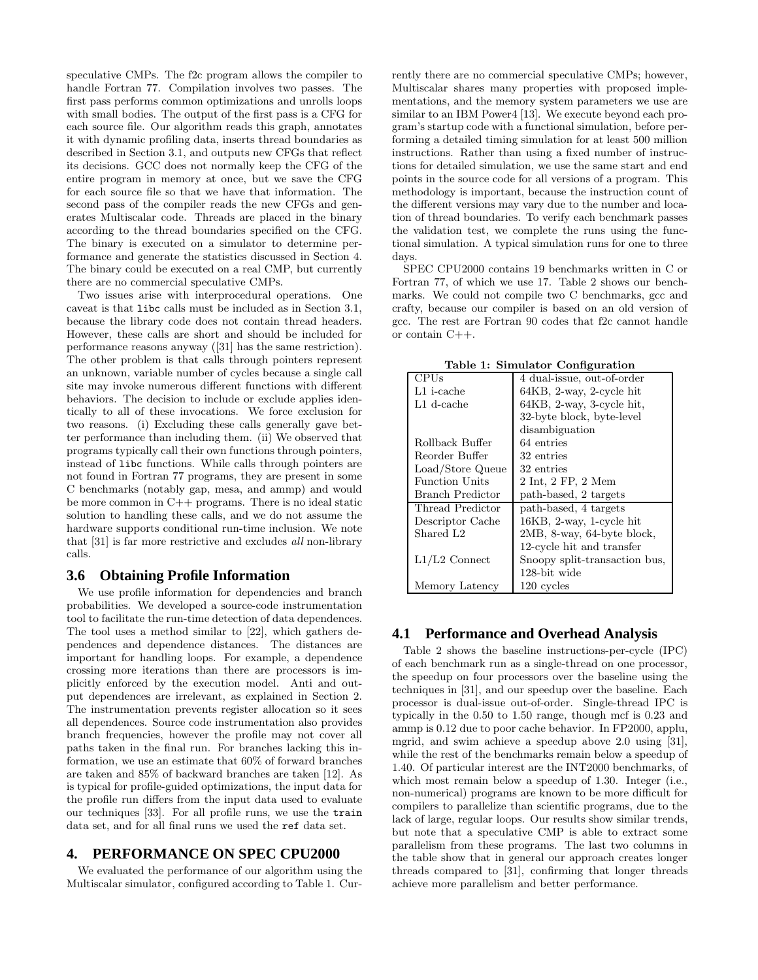speculative CMPs. The f2c program allows the compiler to handle Fortran 77. Compilation involves two passes. The first pass performs common optimizations and unrolls loops with small bodies. The output of the first pass is a CFG for each source file. Our algorithm reads this graph, annotates it with dynamic profiling data, inserts thread boundaries as described in Section 3.1, and outputs new CFGs that reflect its decisions. GCC does not normally keep the CFG of the entire program in memory at once, but we save the CFG for each source file so that we have that information. The second pass of the compiler reads the new CFGs and generates Multiscalar code. Threads are placed in the binary according to the thread boundaries specified on the CFG. The binary is executed on a simulator to determine performance and generate the statistics discussed in Section 4. The binary could be executed on a real CMP, but currently there are no commercial speculative CMPs.

Two issues arise with interprocedural operations. One caveat is that libc calls must be included as in Section 3.1, because the library code does not contain thread headers. However, these calls are short and should be included for performance reasons anyway ([31] has the same restriction). The other problem is that calls through pointers represent an unknown, variable number of cycles because a single call site may invoke numerous different functions with different behaviors. The decision to include or exclude applies identically to all of these invocations. We force exclusion for two reasons. (i) Excluding these calls generally gave better performance than including them. (ii) We observed that programs typically call their own functions through pointers, instead of libc functions. While calls through pointers are not found in Fortran 77 programs, they are present in some C benchmarks (notably gap, mesa, and ammp) and would be more common in C++ programs. There is no ideal static solution to handling these calls, and we do not assume the hardware supports conditional run-time inclusion. We note that [31] is far more restrictive and excludes all non-library calls.

## **3.6 Obtaining Profile Information**

We use profile information for dependencies and branch probabilities. We developed a source-code instrumentation tool to facilitate the run-time detection of data dependences. The tool uses a method similar to [22], which gathers dependences and dependence distances. The distances are important for handling loops. For example, a dependence crossing more iterations than there are processors is implicitly enforced by the execution model. Anti and output dependences are irrelevant, as explained in Section 2. The instrumentation prevents register allocation so it sees all dependences. Source code instrumentation also provides branch frequencies, however the profile may not cover all paths taken in the final run. For branches lacking this information, we use an estimate that 60% of forward branches are taken and 85% of backward branches are taken [12]. As is typical for profile-guided optimizations, the input data for the profile run differs from the input data used to evaluate our techniques [33]. For all profile runs, we use the train data set, and for all final runs we used the ref data set.

# **4. PERFORMANCE ON SPEC CPU2000**

We evaluated the performance of our algorithm using the Multiscalar simulator, configured according to Table 1. Currently there are no commercial speculative CMPs; however, Multiscalar shares many properties with proposed implementations, and the memory system parameters we use are similar to an IBM Power4 [13]. We execute beyond each program's startup code with a functional simulation, before performing a detailed timing simulation for at least 500 million instructions. Rather than using a fixed number of instructions for detailed simulation, we use the same start and end points in the source code for all versions of a program. This methodology is important, because the instruction count of the different versions may vary due to the number and location of thread boundaries. To verify each benchmark passes the validation test, we complete the runs using the functional simulation. A typical simulation runs for one to three days.

SPEC CPU2000 contains 19 benchmarks written in C or Fortran 77, of which we use 17. Table 2 shows our benchmarks. We could not compile two C benchmarks, gcc and crafty, because our compiler is based on an old version of gcc. The rest are Fortran 90 codes that f2c cannot handle or contain C++.

| rable 1. Billiulator Conniguration |                               |  |  |  |
|------------------------------------|-------------------------------|--|--|--|
| CPUs                               | 4 dual-issue, out-of-order    |  |  |  |
| L1 i-cache                         | 64KB, 2-way, 2-cycle hit      |  |  |  |
| $L1$ d-cache                       | 64KB, 2-way, 3-cycle hit,     |  |  |  |
|                                    | 32-byte block, byte-level     |  |  |  |
|                                    | disambiguation                |  |  |  |
| Rollback Buffer                    | 64 entries                    |  |  |  |
| Reorder Buffer                     | 32 entries                    |  |  |  |
| Load/Store Queue                   | 32 entries                    |  |  |  |
| <b>Function Units</b>              | 2 Int, 2 FP, 2 Mem            |  |  |  |
| Branch Predictor                   | path-based, 2 targets         |  |  |  |
| Thread Predictor                   | path-based, 4 targets         |  |  |  |
| Descriptor Cache                   | 16KB, 2-way, 1-cycle hit      |  |  |  |
| Shared L2                          | 2MB, 8-way, 64-byte block,    |  |  |  |
|                                    | 12-cycle hit and transfer     |  |  |  |
| $L1/L2$ Connect                    | Snoopy split-transaction bus, |  |  |  |
|                                    | 128-bit wide                  |  |  |  |
| Memory Latency                     | 120 cycles                    |  |  |  |

## **4.1 Performance and Overhead Analysis**

Table 2 shows the baseline instructions-per-cycle (IPC) of each benchmark run as a single-thread on one processor, the speedup on four processors over the baseline using the techniques in [31], and our speedup over the baseline. Each processor is dual-issue out-of-order. Single-thread IPC is typically in the 0.50 to 1.50 range, though mcf is 0.23 and ammp is 0.12 due to poor cache behavior. In FP2000, applu, mgrid, and swim achieve a speedup above 2.0 using [31], while the rest of the benchmarks remain below a speedup of 1.40. Of particular interest are the INT2000 benchmarks, of which most remain below a speedup of 1.30. Integer (i.e., non-numerical) programs are known to be more difficult for compilers to parallelize than scientific programs, due to the lack of large, regular loops. Our results show similar trends, but note that a speculative CMP is able to extract some parallelism from these programs. The last two columns in the table show that in general our approach creates longer threads compared to [31], confirming that longer threads achieve more parallelism and better performance.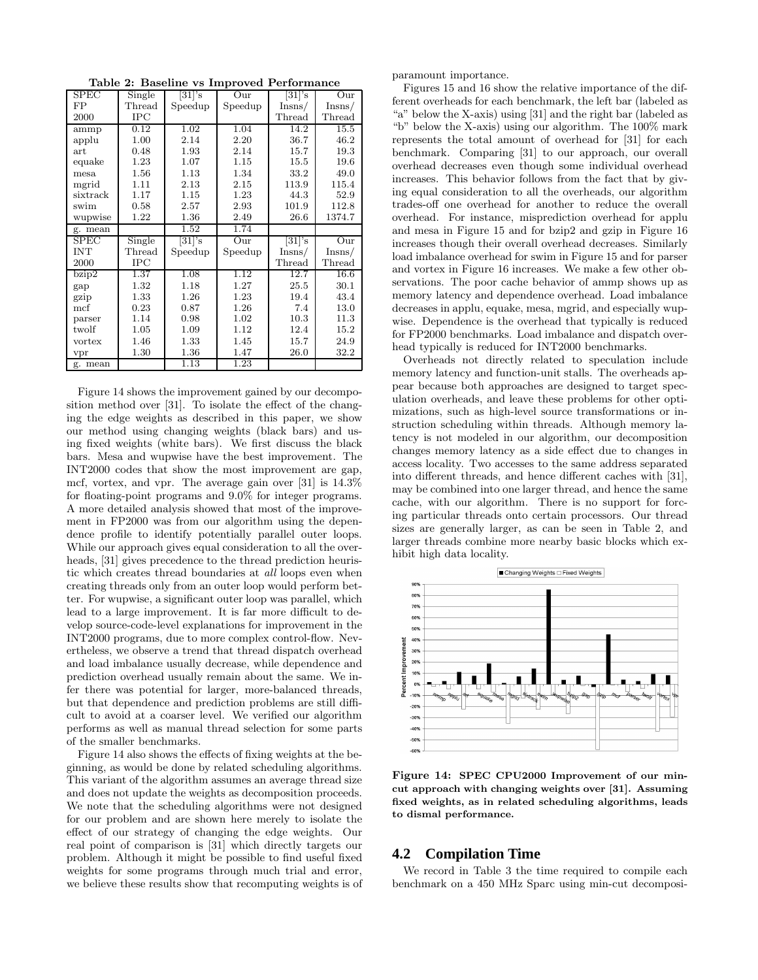Table 2: Baseline vs Improved Performance

| <b>SPEC</b> | Single | $[31]$ 's  | Our     | [31]'s    | Our             |
|-------------|--------|------------|---------|-----------|-----------------|
| FP          | Thread | $S$ peedup | Speedup | Insns/    | $\text{Insns}/$ |
| 2000        | IPC    |            |         | Thread    | Thread          |
| ammp        | 0.12   | 1.02       | 1.04    | 14.2      | 15.5            |
| applu       | 1.00   | 2.14       | 2.20    | 36.7      | 46.2            |
| art         | 0.48   | 1.93       | 2.14    | 15.7      | 19.3            |
| equake      | 1.23   | 1.07       | 1.15    | 15.5      | 19.6            |
| mesa        | 1.56   | 1.13       | 1.34    | 33.2      | 49.0            |
| mgrid       | 1.11   | 2.13       | 2.15    | 113.9     | 115.4           |
| sixtrack    | 1.17   | 1.15       | 1.23    | 44.3      | 52.9            |
| swim        | 0.58   | 2.57       | 2.93    | 101.9     | 112.8           |
| wupwise     | 1.22   | 1.36       | 2.49    | 26.6      | 1374.7          |
| g. mean     |        | 1.52       | 1.74    |           |                 |
| SPEC        | Single | $[31]$ 's  | Our     | $[31]$ 's | $_{\text{Our}}$ |
| <b>INT</b>  | Thread | Speedup    | Speedup | Insns/    | Insns/          |
| 2000        | IPC    |            |         | Thread    | Thread          |
| bzip2       | 1.37   | 1.08       | 1.12    | 12.7      | 16.6            |
| gap         | 1.32   | 1.18       | 1.27    | 25.5      | 30.1            |
| gzip        | 1.33   | 1.26       | 1.23    | 19.4      | 43.4            |
| mcf         | 0.23   | 0.87       | 1.26    | 7.4       | 13.0            |
| parser      | 1.14   | 0.98       | 1.02    | 10.3      | 11.3            |
| twolf       | 1.05   | 1.09       | 1.12    | 12.4      | 15.2            |
| vortex      | 1.46   | 1.33       | 1.45    | 15.7      | 24.9            |
| vpr         | 1.30   | 1.36       | 1.47    | 26.0      | 32.2            |
| g. mean     |        | 1.13       | 1.23    |           |                 |

Figure 14 shows the improvement gained by our decomposition method over [31]. To isolate the effect of the changing the edge weights as described in this paper, we show our method using changing weights (black bars) and using fixed weights (white bars). We first discuss the black bars. Mesa and wupwise have the best improvement. The INT2000 codes that show the most improvement are gap, mcf, vortex, and vpr. The average gain over [31] is 14.3% for floating-point programs and 9.0% for integer programs. A more detailed analysis showed that most of the improvement in FP2000 was from our algorithm using the dependence profile to identify potentially parallel outer loops. While our approach gives equal consideration to all the overheads, [31] gives precedence to the thread prediction heuristic which creates thread boundaries at all loops even when creating threads only from an outer loop would perform better. For wupwise, a significant outer loop was parallel, which lead to a large improvement. It is far more difficult to develop source-code-level explanations for improvement in the INT2000 programs, due to more complex control-flow. Nevertheless, we observe a trend that thread dispatch overhead and load imbalance usually decrease, while dependence and prediction overhead usually remain about the same. We infer there was potential for larger, more-balanced threads, but that dependence and prediction problems are still difficult to avoid at a coarser level. We verified our algorithm performs as well as manual thread selection for some parts of the smaller benchmarks.

Figure 14 also shows the effects of fixing weights at the beginning, as would be done by related scheduling algorithms. This variant of the algorithm assumes an average thread size and does not update the weights as decomposition proceeds. We note that the scheduling algorithms were not designed for our problem and are shown here merely to isolate the effect of our strategy of changing the edge weights. Our real point of comparison is [31] which directly targets our problem. Although it might be possible to find useful fixed weights for some programs through much trial and error, we believe these results show that recomputing weights is of paramount importance.

Figures 15 and 16 show the relative importance of the different overheads for each benchmark, the left bar (labeled as "a" below the X-axis) using [31] and the right bar (labeled as "b" below the X-axis) using our algorithm. The 100% mark represents the total amount of overhead for [31] for each benchmark. Comparing [31] to our approach, our overall overhead decreases even though some individual overhead increases. This behavior follows from the fact that by giving equal consideration to all the overheads, our algorithm trades-off one overhead for another to reduce the overall overhead. For instance, misprediction overhead for applu and mesa in Figure 15 and for bzip2 and gzip in Figure 16 increases though their overall overhead decreases. Similarly load imbalance overhead for swim in Figure 15 and for parser and vortex in Figure 16 increases. We make a few other observations. The poor cache behavior of ammp shows up as memory latency and dependence overhead. Load imbalance decreases in applu, equake, mesa, mgrid, and especially wupwise. Dependence is the overhead that typically is reduced for FP2000 benchmarks. Load imbalance and dispatch overhead typically is reduced for INT2000 benchmarks.

Overheads not directly related to speculation include memory latency and function-unit stalls. The overheads appear because both approaches are designed to target speculation overheads, and leave these problems for other optimizations, such as high-level source transformations or instruction scheduling within threads. Although memory latency is not modeled in our algorithm, our decomposition changes memory latency as a side effect due to changes in access locality. Two accesses to the same address separated into different threads, and hence different caches with [31], may be combined into one larger thread, and hence the same cache, with our algorithm. There is no support for forcing particular threads onto certain processors. Our thread sizes are generally larger, as can be seen in Table 2, and larger threads combine more nearby basic blocks which exhibit high data locality.



Figure 14: SPEC CPU2000 Improvement of our mincut approach with changing weights over [31]. Assuming fixed weights, as in related scheduling algorithms, leads to dismal performance.

#### **4.2 Compilation Time**

We record in Table 3 the time required to compile each benchmark on a 450 MHz Sparc using min-cut decomposi-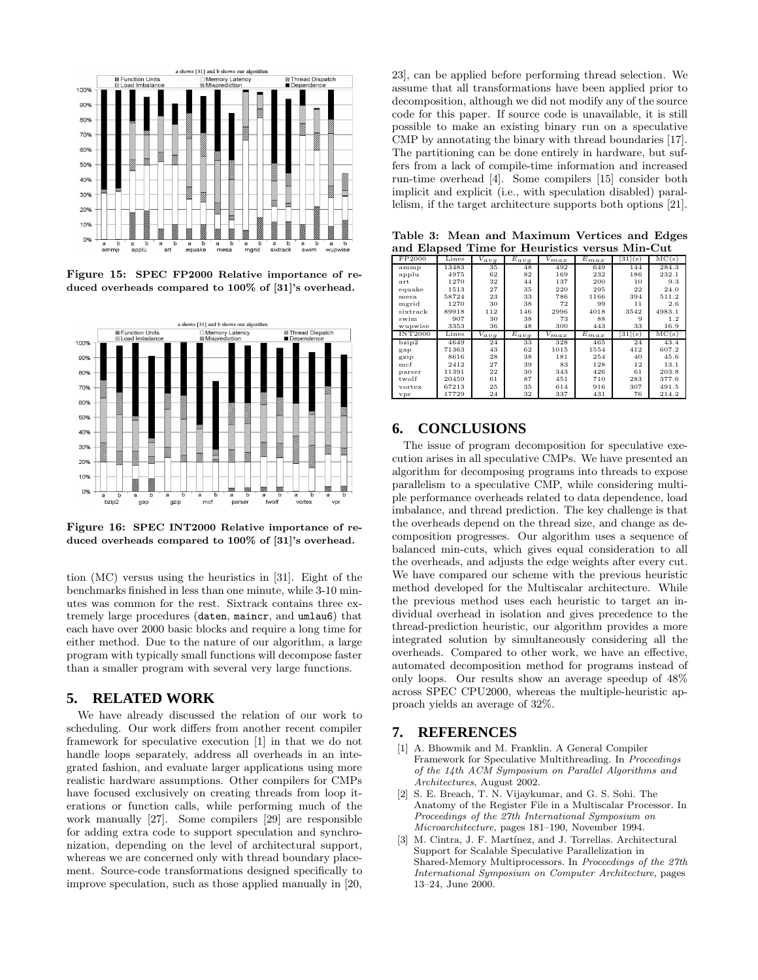

Figure 15: SPEC FP2000 Relative importance of reduced overheads compared to 100% of [31]'s overhead.



Figure 16: SPEC INT2000 Relative importance of reduced overheads compared to 100% of [31]'s overhead.

tion (MC) versus using the heuristics in [31]. Eight of the benchmarks finished in less than one minute, while 3-10 minutes was common for the rest. Sixtrack contains three extremely large procedures (daten, maincr, and umlau6) that each have over 2000 basic blocks and require a long time for either method. Due to the nature of our algorithm, a large program with typically small functions will decompose faster than a smaller program with several very large functions.

#### **5. RELATED WORK**

We have already discussed the relation of our work to scheduling. Our work differs from another recent compiler framework for speculative execution [1] in that we do not handle loops separately, address all overheads in an integrated fashion, and evaluate larger applications using more realistic hardware assumptions. Other compilers for CMPs have focused exclusively on creating threads from loop iterations or function calls, while performing much of the work manually [27]. Some compilers [29] are responsible for adding extra code to support speculation and synchronization, depending on the level of architectural support, whereas we are concerned only with thread boundary placement. Source-code transformations designed specifically to improve speculation, such as those applied manually in [20,

23], can be applied before performing thread selection. We assume that all transformations have been applied prior to decomposition, although we did not modify any of the source code for this paper. If source code is unavailable, it is still possible to make an existing binary run on a speculative CMP by annotating the binary with thread boundaries [17]. The partitioning can be done entirely in hardware, but suffers from a lack of compile-time information and increased run-time overhead [4]. Some compilers [15] consider both implicit and explicit (i.e., with speculation disabled) parallelism, if the target architecture supports both options [21].

Table 3: Mean and Maximum Vertices and Edges and Elapsed Time for Heuristics versus Min-Cut

| FP2000   | Lines | Vavg    | $E_{avg}$ | $V_{max}$ | $E_{max}$ | $\sqrt{31}$ (s) | MC(s)                       |
|----------|-------|---------|-----------|-----------|-----------|-----------------|-----------------------------|
| ammp     | 13483 | 35      | 48        | 492       | 649       | 144             | 284.3                       |
| applu    | 4975  | 62      | 82        | 169       | 232       | 186             | 232.1                       |
| art      | 1270  | 32      | 44        | 137       | 200       | 10              | 9.3                         |
| equake   | 1513  | 27      | 35        | 220       | 295       | 22              | 24.0                        |
| mesa     | 58724 | 23      | 33        | 786       | 1166      | 394             | 511.2                       |
| mgrid    | 1270  | 30      | 38        | 72        | 99        | 11              | 2.6                         |
| sixtrack | 89918 | 112     | 146       | 2996      | 4018      | 3542            | 4983.1                      |
| swim     | 907   | 30      | 38        | 73        | 88        | 9               | 1.2                         |
| wupwise  | 3353  | 36      | 48        | 300       | 443       | 33              | 16.9                        |
| INT2000  | Lines | $V$ avq | $E_{avg}$ | $V_{max}$ | $E_{max}$ | $[31]$ (s)      | $\overline{\mathrm{MC}}(s)$ |
| bzip2    | 4649  | 24      | 33        | 328       | 465       | 24              | 43.4                        |
| gap      | 71363 | 43      | 62        | 1015      | 1554      | 412             | 607.2                       |
| gzip     | 8616  | 28      | 38        | 181       | 254       | 40              | 45.6                        |
| mcf      | 2412  | 27      | 39        | 83        | 128       | 12              | 13.1                        |
| parser   | 11391 | 22      | 30        | 343       | 426       | 61              | 203.8                       |
| twolf    | 20459 | 61      | 87        | 451       | 710       | 283             | 377.6                       |
| vortex   | 67213 | 25      | 35        | 614       | 916       | 307             | 491.5                       |
| vpr      | 17729 | 24      | 32        | 337       | 431       | 76              | 214.2                       |

# **6. CONCLUSIONS**

The issue of program decomposition for speculative execution arises in all speculative CMPs. We have presented an algorithm for decomposing programs into threads to expose parallelism to a speculative CMP, while considering multiple performance overheads related to data dependence, load imbalance, and thread prediction. The key challenge is that the overheads depend on the thread size, and change as decomposition progresses. Our algorithm uses a sequence of balanced min-cuts, which gives equal consideration to all the overheads, and adjusts the edge weights after every cut. We have compared our scheme with the previous heuristic method developed for the Multiscalar architecture. While the previous method uses each heuristic to target an individual overhead in isolation and gives precedence to the thread-prediction heuristic, our algorithm provides a more integrated solution by simultaneously considering all the overheads. Compared to other work, we have an effective, automated decomposition method for programs instead of only loops. Our results show an average speedup of 48% across SPEC CPU2000, whereas the multiple-heuristic approach yields an average of 32%.

## **7. REFERENCES**

- [1] A. Bhowmik and M. Franklin. A General Compiler Framework for Speculative Multithreading. In Proceedings of the 14th ACM Symposium on Parallel Algorithms and Architectures, August 2002.
- [2] S. E. Breach, T. N. Vijaykumar, and G. S. Sohi. The Anatomy of the Register File in a Multiscalar Processor. In Proceedings of the 27th International Symposium on Microarchitecture, pages 181–190, November 1994.
- [3] M. Cintra, J. F. Martínez, and J. Torrellas. Architectural Support for Scalable Speculative Parallelization in Shared-Memory Multiprocessors. In Proceedings of the 27th International Symposium on Computer Architecture, pages 13–24, June 2000.